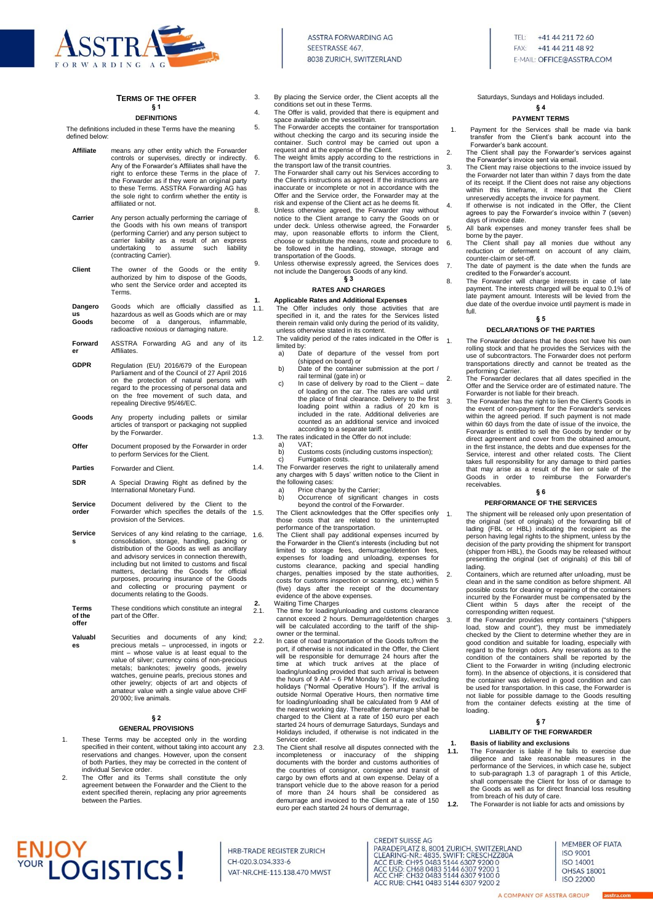

# **TERMS OF THE OFFER**

### **§ 1 DEFINITIONS**

The definitions included in these Terms have the meaning defined below:

| Affiliate              | means any other entity which the Forwarder<br>controls or supervises, directly or indirectly.<br>Any of the Forwarder's Affiliates shall have the<br>right to enforce these Terms in the place of<br>the Forwarder as if they were an original party<br>to these Terms. ASSTRA Forwarding AG has<br>the sole right to confirm whether the entity is<br>affiliated or not. | 6.<br>7.   |
|------------------------|---------------------------------------------------------------------------------------------------------------------------------------------------------------------------------------------------------------------------------------------------------------------------------------------------------------------------------------------------------------------------|------------|
| Carrier                | Any person actually performing the carriage of<br>the Goods with his own means of transport<br>(performing Carrier) and any person subject to<br>carrier liability as a result of an express<br>to<br>undertaking<br>assume<br>such<br>liability<br>(contracting Carrier).                                                                                                | 8.         |
| Client                 | The owner of the Goods or the entity<br>authorized by him to dispose of the Goods,<br>who sent the Service order and accepted its<br>Terms.                                                                                                                                                                                                                               | 9.         |
| Dangero<br>us<br>Goods | Goods which are officially classified<br>as<br>hazardous as well as Goods which are or may<br>of a dangerous, inflammable,<br>become<br>radioactive noxious or damaging nature.                                                                                                                                                                                           | 1.<br>1.1. |
| Forward<br>er          | ASSTRA Forwarding AG and any of its<br>Affiliates.                                                                                                                                                                                                                                                                                                                        | 1.2.       |
| <b>GDPR</b>            | Regulation (EU) 2016/679 of the European<br>Parliament and of the Council of 27 April 2016<br>on the protection of natural persons with<br>regard to the processing of personal data and<br>on the free movement of such data, and<br>repealing Directive 95/46/EC.                                                                                                       |            |
| Goods                  | Any property including pallets or similar<br>articles of transport or packaging not supplied<br>by the Forwarder.                                                                                                                                                                                                                                                         | 1.3.       |
| Offer                  | Document proposed by the Forwarder in order<br>to perform Services for the Client.                                                                                                                                                                                                                                                                                        |            |
| <b>Parties</b>         | Forwarder and Client.                                                                                                                                                                                                                                                                                                                                                     | 1.4.       |
| SDR                    | A Special Drawing Right as defined by the<br>International Monetary Fund.                                                                                                                                                                                                                                                                                                 |            |
| Service<br>order       | Document delivered by the Client to the<br>Forwarder which specifies the details of the<br>provision of the Services.                                                                                                                                                                                                                                                     | 1.5.       |
| Service                | Services of any kind relating to the carriage,                                                                                                                                                                                                                                                                                                                            | 16         |

- **s** Services of any kind relating to the carriage, consolidation, storage, handling, packing or distribution of the Goods as well as ancillary and advisory services in connection therewith, including but not limited to customs and fiscal matters, declaring the Goods for official purposes, procuring insurance of the Goods and collecting or procuring payment or documents relating to the Goods.
- **Terms of the offer** These conditions which constitute an integral part of the Offer.
- **Valuabl es** Securities and documents of any kind; 2.2. precious metals – unprocessed, in ingots or mint – whose value is at least equal to the value of silver; currency coins of non-precious metals; banknotes; jewelry goods, jewelry watches, genuine pearls, precious stones and other jewelry; objects of art and objects of amateur value with a single value above CHF 20'000; live animals.

# **§ 2 GENERAL PROVISIONS**

- 1. These Terms may be accepted only in the wording specified in their content, without taking into account any reservations and changes. However, upon the consent of both Parties, they may be corrected in the content of individual Service order.
- 2. The Offer and its Terms shall constitute the only agreement between the Forwarder and the Client to the extent specified therein, replacing any prior agreements between the Parties.

# **ENJOY<br>VOUR LOGISTICS!**

3. By placing the Service order, the Client accepts all the conditions set out in these Terms. 4. The Offer is valid, provided that there is equipment and

- space available on the vessel/train.
- 5. The Forwarder accepts the container for transportation without checking the cargo and its securing inside the container. Such control may be carried out upon a request and at the expense of the Client.
- The weight limits apply according to the restrictions in the transport law of the transit countries. 7. The Forwarder shall carry out his Services according to the Client's instructions as agreed. If the instructions are inaccurate or incomplete or not in accordance with the
- Offer and the Service order, the Forwarder may at the risk and expense of the Client act as he deems fit. 8. Unless otherwise agreed, the Forwarder may without notice to the Client arrange to carry the Goods on or under deck. Unless otherwise agreed, the Forwarder may, upon reasonable efforts to inform the Client, choose or substitute the means, route and procedure to be followed in the handling, stowage, storage and transportation of the Goods.
	- Unless otherwise expressly agreed, the Services does not include the Dangerous Goods of any kind. **§ 3**

### **RATES AND CHARGES**

- **1. Applicable Rates and Additional Expenses** 1.1. The Offer includes only those activities that are specified in it, and the rates for the Services listed therein remain valid only during the period of its validity,
- unless otherwise stated in its content. The validity period of the rates indicated in the Offer is  $\frac{1}{1}$ .
- limited by:<br>a) Da a) Date of departure of the vessel from port (shipped on board) or
- b) Date of the container submission at the port / rail terminal (gate in) or
- c) In case of delivery by road to the Client date of loading on the car. The rates are valid until the place of final clearance. Delivery to the first loading point within a radius of 20 km is included in the rate. Additional deliveries are counted as an additional service and invoiced according to a separate tariff.

# The rates indicated in the Offer do not include

- a) VAT;
- b) Customs costs (including customs inspection); c) Fumigation costs. The Forwarder reserves the right to unilaterally amend

any charges with 5 days' written notice to the Client in the following cases: a) Price change by the Carrier;

- 
- b) Occurrence of significant changes in costs beyond the control of the Forwarder.

1.5. The Client acknowledges that the Offer specifies only those costs that are related to the uninterrupted

performance of the transportation. 1.6. The Client shall pay additional expenses incurred by the Forwarder in the Client's interests (including but not limited to storage fees, demurrage/detention fees, expenses for loading and unloading, expenses for customs clearance, packing and special handling charges, penalties imposed by the state authorities, costs for customs inspection or scanning, etc.) within 5 (five) days after the receipt of the documentary evidence of the above expenses.

- **2.** Waiting Time Charges<br>
2. The time for loading/ 2.1. The time for loading/unloading and customs clearance cannot exceed 2 hours. Demurrage/detention charges will be calculated according to the tariff of the shipowner or the terminal.
	- In case of road transportation of the Goods to/from the port, if otherwise is not indicated in the Offer, the Client will be responsible for demurrage 24 hours after the time at which truck arrives at the place of loading/unloading provided that such arrival is between the hours of 9 AM – 6 PM Monday to Friday, excluding holidays ("Normal Operative Hours"). If the arrival is outside Normal Operative Hours, then normative time for loading/unloading shall be calculated from 9 AM of the nearest working day. Thereafter demurrage shall be charged to the Client at a rate of 150 euro per each started 24 hours of demurrage Saturdays, Sundays and Holidays included, if otherwise is not indicated in the Service order.
- 2.3. The Client shall resolve all disputes connected with the incompleteness or inaccuracy of the shipping documents with the border and customs authorities of the countries of consignor, consignee and transit of cargo by own efforts and at own expense. Delay of a transport vehicle due to the above reason for a period of more than 24 hours shall be considered as demurrage and invoiced to the Client at a rate of 150 euro per each started 24 hours of demurrage,

HRB-TRADE REGISTER ZURICH

VAT-NR.CHE-115.138.470 MWST

CH-020.3.034.333-6

**CREDIT SUISSE AG** 

CREDIT SUISSE AG<br>
PARADEPLATZ 8, 8001 ZURICH, SWITZERLAND<br>
CLEARING-NR.: 4835. SWIFT: CRESCHZZ80A<br>
ACC USD: CH95 0483 5144 6307 9200 0<br>
ACC USD: CH68 0483 5144 6307 9200 0<br>
ACC CHF: CH32 0483 5144 6307 9100 0<br>
ACC CHF: CH3

ACC RUB: CH41 0483 5144 6307 9200 2

Saturdays, Sundays and Holidays included.

## **§ 4**

## **PAYMENT TERMS**

- 1. Payment for the Services shall be made via bank transfer from the Client's bank account into the Forwarder's bank account.
- 2. The Client shall pay the Forwarder's services against the Forwarder's invoice sent via email.
- 3. The Client may raise objections to the invoice issued by the Forwarder not later than within 7 days from the date of its receipt. If the Client does not raise any objections within this timeframe, it means that the Client unreservedly accepts the invoice for payment.
- 4. If otherwise is not indicated in the Offer, the Client agrees to pay the Forwarder's invoice within 7 (seven) days of invoice date.
- All bank expenses and money transfer fees shall be borne by the payer.
- 6. The Client shall pay all monies due without any reduction or deferment on account of any claim counter-claim or set-off.
- 7. The date of payment is the date when the funds are credited to the Forwarder's account.
- 8. The Forwarder will charge interests in case of late payment. The interests charged will be equal to 0.1% of late payment amount. Interests will be levied from the due date of the overdue invoice until payment is made in full.

# **§ 5**

# **DECLARATIONS OF THE PARTIES**

The Forwarder declares that he does not have his own rolling stock and that he provides the Services with the use of subcontractors. The Forwarder does not perform transportations directly and cannot be treated as the

- performing Carrier. 2. The Forwarder declares that all dates specified in the Offer and the Service order are of estimated nature. The Forwarder is not liable for their breach.
- 3. The Forwarder has the right to lien the Client's Goods in the event of non-payment for the Forwarder's services within the agreed period. If such payment is not made within 60 days from the date of issue of the invoice, the Forwarder is entitled to sell the Goods by tender or by direct agreement and cover from the obtained amount, in the first instance, the debts and due expenses for the Service, interest and other related costs. The Client takes full responsibility for any damage to third parties that may arise as a result of the lien or sale of the<br>Goods in order to reimburse the Forwarder's in order to reimburse the Forwarder's receivables.

# **§ 6**

# **PERFORMANCE OF THE SERVICES**

The shipment will be released only upon presentation of the original (set of originals) of the forwarding bill of lading (FBL or HBL) indicating the recipient as the person having legal rights to the shipment, unless by the decision of the party providing the shipment for transport (shipper from HBL), the Goods may be released without presenting the original (set of originals) of this bill of lading.

2. Containers, which are returned after unloading, must be clean and in the same condition as before shipment. All possible costs for cleaning or repairing of the containers incurred by the Forwarder must be compensated by the Client within 5 days after the receipt of the

corresponding written request. 3. If the Forwarder provides empty containers ("shippers load, stow and count"), they must be immediately checked by the Client to determine whether they are in good condition and suitable for loading, especially with regard to the foreign odors. Any reservations as to the condition of the containers shall be reported by the Client to the Forwarder in writing (including electronic form). In the absence of objections, it is considered that the container was delivered in good condition and can be used for transportation. In this case, the Forwarder is not liable for possible damage to the Goods resulting from the container defects existing at the time of loading.

### **§ 7 LIABILITY OF THE FORWARDER**

- **1. Basis of liability and exclusions 1.1.** The Forwarder is liable if he fails to exercise due diligence and take reasonable measures in the performance of the Services, in which case he, subject to sub-paragraph 1.3 of paragraph 1 of this Article, shall compensate the Client for loss of or damage to the Goods as well as for direct financial loss resulting
- from breach of his duty of care. **1.2.** The Forwarder is not liable for acts and omissions by

MEMBER OF FIATA **ISO 9001** ISO 14001 **OHSAS 18001** ISO 22000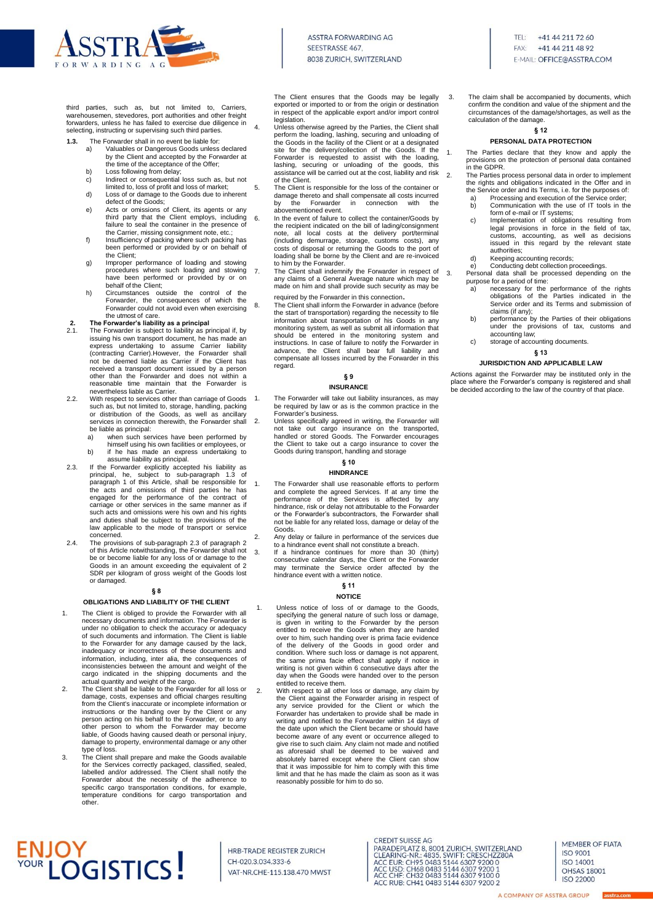

3. The claim shall be accompanied by documents, which confirm the condition and value of the shipment and the circumstances of the damage/shortages, as well as the

**§ 12 PERSONAL DATA PROTECTION** 1. The Parties declare that they know and apply the provisions on the protection of personal data contained

2. The Parties process personal data in order to implement

calculation of the damage.

in the GDPR.

third parties, such as, but not limited to, Carriers, warehousemen, stevedores, port authorities and other freight forwarders, unless he has failed to exercise due diligence in selecting, instructing or supervising such third parties.

- **1.3.** The Forwarder shall in no event be liable for:<br>a) Valuables or Dangerous Goods unless a) Valuables or Dangerous Goods unless declared
	- by the Client and accepted by the Forwarder at
	- the time of the acceptance of the Offer;
	- b) Loss following from delay; c) Indirect or consequential loss such as, but not
	- limited to, loss of profit and loss of market; d) Loss of or damage to the Goods due to inherent defect of the Goods;
	- e) Acts or omissions of Client, its agents or any third party that the Client employs, including failure to seal the container in the presence of the Carrier, missing consignment note, etc.;
	- f) Insufficiency of packing where such packing has been performed or provided by or on behalf of the Client;
	- g) Improper performance of loading and stowing procedures where such loading and stowing have been performed or provided by or on behalf of the Client;
	- h) Circumstances outside the control of the Forwarder, the consequences of which the Forwarder could not avoid even when exercising the utmost of care.

# **2. The Forwarder's liability as a principal**<br>2.1 **The Forwarder is subject to liability as p**

- The Forwarder is subject to liability as principal if, by issuing his own transport document, he has made an express undertaking to assume Carrier liability (contracting Carrier).However, the Forwarder shall not be deemed liable as Carrier if the Client has received a transport document issued by a person other than the Forwarder and does not within a reasonable time maintain that the Forwarder is nevertheless liable as Carrier.
- 2.2. With respect to services other than carriage of Goods such as, but not limited to, storage, handling, packing or distribution of the Goods, as well as ancillary services in connection therewith, the Forwarder shall
	- be liable as principal:<br>a) when such ser when such services have been performed by himself using his own facilities or employees, or
	- b) if he has made an express undertaking to assume liability as principal.
- 2.3. If the Forwarder explicitly accepted his liability as principal, he, subject to sub-paragraph 1.3 of paragraph 1 of this Article, shall be responsible for the acts and omissions of third parties he has engaged for the performance of the contract of carriage or other services in the same manner as if such acts and omissions were his own and his rights and duties shall be subject to the provisions of the law applicable to the mode of transport or service concerned.
- 2.4. The provisions of sub-paragraph 2.3 of paragraph 2 of this Article notwithstanding, the Forwarder shall not be or become liable for any loss of or damage to the Goods in an amount exceeding the equivalent of 2 SDR per kilogram of gross weight of the Goods lost or damaged.

# **§ 8**

# **OBLIGATIONS AND LIABILITY OF THE CLIENT**

- The Client is obliged to provide the Forwarder with all necessary documents and information. The Forwarder is under no obligation to check the accuracy or adequacy of such documents and information. The Client is liable to the Forwarder for any damage caused by the lack, inadequacy or incorrectness of these documents and information, including, inter alia, the consequences of inconsistencies between the amount and weight of the cargo indicated in the shipping documents and the actual quantity and weight of the cargo.
- 2. The Client shall be liable to the Forwarder for all loss or damage, costs, expenses and official charges resulting from the Client's inaccurate or incomplete information or instructions or the handing over by the Client or any person acting on his behalf to the Forwarder, or to any other person to whom the Forwarder may become liable, of Goods having caused death or personal injury, damage to property, environmental damage or any other type of loss.
- 3. The Client shall prepare and make the Goods available for the Services correctly packaged, classified, sealed, labelled and/or addressed. The Client shall notify the Forwarder about the necessity of the adherence to specific cargo transportation conditions, for example, temperature conditions for cargo transportation and other.

# **ENJOY**<br>VOUR LOGISTICS!

HRB-TRADE REGISTER ZURICH CH-020.3.034.333-6 VAT-NR.CHE-115.138.470 MWST

The Client ensures that the Goods may be legally exported or imported to or from the origin or destination in respect of the applicable export and/or import control legislation.

- 4. Unless otherwise agreed by the Parties, the Client shall perform the loading, lashing, securing and unloading of the Goods in the facility of the Client or at a designated site for the delivery/collection of the Goods. If the Forwarder is requested to assist with the loading, lashing, securing or unloading of the goods, this assistance will be carried out at the cost, liability and risk of the Client.
- 5. The Client is responsible for the loss of the container or damage thereto and shall compensate all costs incurred<br>by the Forwarder in connection with the by the Forwarder in connection abovementioned event.
- 6. In the event of failure to collect the container/Goods by the recipient indicated on the bill of lading/consignment note, all local costs at the delivery port/terminal (including demurrage, storage, customs costs), any costs of disposal or returning the Goods to the port of loading shall be borne by the Client and are re-invoiced to him by the Forwarder.
- 7. The Client shall indemnify the Forwarder in respect of  $\frac{3}{3}$ any claims of a General Average nature which may be made on him and shall provide such security as may be required by the Forwarder in this connection.
- 8. The Client shall inform the Forwarder in advance (before the start of transportation) regarding the necessity to file information about transportation of his Goods in any monitoring system, as well as submit all information that<br>should be entered in the monitoring system and<br>instructions. In case of failure to notify the Forwarder in<br>advance, the Client shall bear full liability and<br>compens regard.

# **§ 9**

## **INSURANCE**

- 1. The Forwarder will take out liability insurances, as may be required by law or as is the common practice in the Forwarder's business.
- 2. Unless specifically agreed in writing, the Forwarder will not take out cargo insurance on the transported, handled or stored Goods. The Forwarder encourages the Client to take out a cargo insurance to cover the Goods during transport, handling and storage

# **§ 10 HINDRANCE**

- 1. The Forwarder shall use reasonable efforts to perform and complete the agreed Services. If at any time the performance of the Services is affected by any hindrance, risk or delay not attributable to the Forwarder or the Forwarder's subcontractors, the Forwarder shall not be liable for any related loss, damage or delay of the Goods.
- 2. Any delay or failure in performance of the services due to a hindrance event shall not constitute a breach.
- 3. If a hindrance continues for more than 30 (thirty) consecutive calendar days, the Client or the Forward may terminate the Service order affected by the hindrance event with a written notice.

## **§ 11 NOTICE**

- 1. Unless notice of loss of or damage to the Goods, specifying the general nature of such loss or damage, is given in writing to the Forwarder by the person entitled to receive the Goods when they are handed over to him, such handing over is prima facie evidence of the delivery of the Goods in good order and condition. Where such loss or damage is not apparent, the same prima facie effect shall apply if notice in writing is not given within 6 consecutive days after the day when the Goods were handed over to the person entitled to receive them.
- 2. With respect to all other loss or damage, any claim by the Client against the Forwarder arising in respect of any service provided for the Client or which the Forwarder has undertaken to provide shall be made in writing and notified to the Forwarder within 14 days of the date upon which the Client became or should have become aware of any event or occurrence alleged to give rise to such claim. Any claim not made and notified as aforesaid shall be deemed to be waived and absolutely barred except where the Client can show that it was impossible for him to comply with this time limit and that he has made the claim as soon as it was reasonably possible for him to do so.

**CREDIT SUISSE AG** CREDIT SUISSE AG<br>
PARADEPLATZ 8, 8001 ZURICH, SWITZERLAND<br>
CLEARING-NR.: 4835. SWIFT: CRESCHZZ80A<br>
ACC USD: CH95 0483 5144 6307 9200 0<br>
ACC USD: CH68 0483 5144 6307 9200 0<br>
ACC CHF: CH32 0483 5144 6307 9100 0<br>
ACC CHF: CH3 ACC RUB: CH41 0483 5144 6307 9200 2

the rights and obligations indicated in the Offer and in the Service order and its Terms, i.e. for the purposes of: a) Processing and execution of the Service order<br>b) Communication with the use of IT tools in the Communication with the use of IT tools in the form of e-mail or IT systems;

- c) Implementation of obligations resulting from legal provisions in force in the field of tax, customs, accounting, as well as decisions issued in this regard by the relevant state authorities;
- d) Keeping accounting records;
- e) Conducting debt collection proceedings. 3. Personal data shall be processed depending on the purpose for a period of time:
	- a) necessary for the performance of the rights obligations of the Parties indicated in the Service order and its Terms and submission of claims (if any);
	- b) performance by the Parties of their obligations under the provisions of tax, customs and accounting law;
	- storage of accounting documents.

# **§ 13 JURISDICTION AND APPLICABLE LAW**

Actions against the Forwarder may be instituted only in the place where the Forwarder's company is registered and shall be decided according to the law of the country of that place.

> MEMBER OF FIATA **ISO 9001** ISO 14001 **OHSAS 18001** ISO 22000